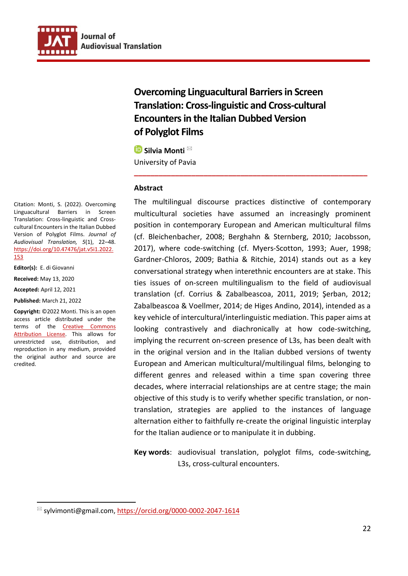

**Overcoming Linguacultural Barriers in Screen Translation: Cross-linguistic and Cross-cultural Encounters in the Italian Dubbed Version of Polyglot Films**

**■** Silvia Monti University of Pavia

#### **Abstract**

The multilingual discourse practices distinctive of contemporary multicultural societies have assumed an increasingly prominent position in contemporary European and American multicultural films (cf. Bleichenbacher, 2008; Berghahn & Sternberg, 2010; Jacobsson, 2017), where code-switching (cf. Myers-Scotton, 1993; Auer, 1998; Gardner-Chloros, 2009; Bathia & Ritchie, 2014) stands out as a key conversational strategy when interethnic encounters are at stake. This ties issues of on-screen multilingualism to the field of audiovisual translation (cf. Corrius & Zabalbeascoa, 2011, 2019; Şerban, 2012; Zabalbeascoa & Voellmer, 2014; de Higes Andino, 2014), intended as a key vehicle of intercultural/interlinguistic mediation. This paper aims at looking contrastively and diachronically at how code-switching, implying the recurrent on-screen presence of L3s, has been dealt with in the original version and in the Italian dubbed versions of twenty European and American multicultural/multilingual films, belonging to different genres and released within a time span covering three decades, where interracial relationships are at centre stage; the main objective of this study is to verify whether specific translation, or nontranslation, strategies are applied to the instances of language alternation either to faithfully re-create the original linguistic interplay for the Italian audience or to manipulate it in dubbing.

**\_\_\_\_\_\_\_\_\_\_\_\_\_\_\_\_\_\_\_\_\_\_\_\_\_\_\_\_\_\_\_\_\_\_\_\_\_\_\_\_\_\_\_\_\_\_\_\_\_\_\_\_\_\_\_\_\_**

**Key words**: audiovisual translation, polyglot films, code-switching, L3s, cross-cultural encounters.

Citation: Monti, S. (2022). Overcoming Linguacultural Barriers in Screen Translation: Cross-linguistic and Crosscultural Encounters in the Italian Dubbed Version of Polyglot Films. *Journal of Audiovisual Translation, 5*(1), 22–48. [https://doi.org/10.47476/jat.v5i1.2022.](https://doi.org/10.47476/jat.v5i1.2022.153) [153](https://doi.org/10.47476/jat.v5i1.2022.153)

**Editor(s):** E. di Giovanni

**Received:** May 13, 2020

**Accepted:** April 12, 2021

**Published:** March 21, 2022

**Copyright:** ©2022 Monti. This is an open access article distributed under the terms of the [Creative Commons](https://creativecommons.org/licenses/by/4.0/)  [Attribution License.](https://creativecommons.org/licenses/by/4.0/) This allows for unrestricted use, distribution, and reproduction in any medium, provided the original author and source are credited.

 $^{\boxtimes}$  sylvimonti@gmail.com, https:/[/orcid.org/0000-0002-2047-1614](https://orcid.org/0000-0002-2047-1614)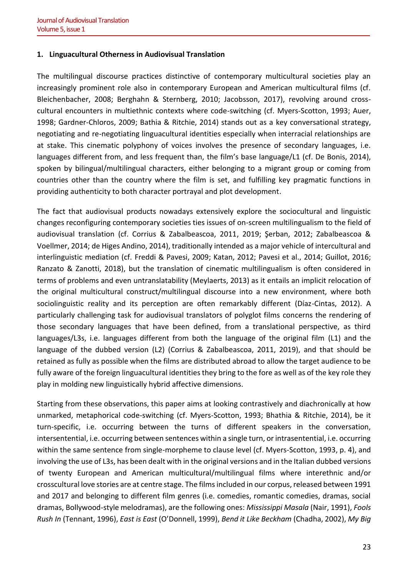#### **1. Linguacultural Otherness in Audiovisual Translation**

The multilingual discourse practices distinctive of contemporary multicultural societies play an increasingly prominent role also in contemporary European and American multicultural films (cf. Bleichenbacher, 2008; Berghahn & Sternberg, 2010; Jacobsson, 2017), revolving around crosscultural encounters in multiethnic contexts where code-switching (cf. Myers-Scotton, 1993; Auer, 1998; Gardner-Chloros, 2009; Bathia & Ritchie, 2014) stands out as a key conversational strategy, negotiating and re-negotiating linguacultural identities especially when interracial relationships are at stake. This cinematic polyphony of voices involves the presence of secondary languages, i.e. languages different from, and less frequent than, the film's base language/L1 (cf. De Bonis, 2014), spoken by bilingual/multilingual characters, either belonging to a migrant group or coming from countries other than the country where the film is set, and fulfilling key pragmatic functions in providing authenticity to both character portrayal and plot development.

The fact that audiovisual products nowadays extensively explore the sociocultural and linguistic changes reconfiguring contemporary societies ties issues of on-screen multilingualism to the field of audiovisual translation (cf. Corrius & Zabalbeascoa, 2011, 2019; Şerban, 2012; Zabalbeascoa & Voellmer, 2014; de Higes Andino, 2014), traditionally intended as a major vehicle of intercultural and interlinguistic mediation (cf. Freddi & Pavesi, 2009; Katan, 2012; Pavesi et al., 2014; Guillot, 2016; Ranzato & Zanotti, 2018), but the translation of cinematic multilingualism is often considered in terms of problems and even untranslatability (Meylaerts, 2013) as it entails an implicit relocation of the original multicultural construct/multilingual discourse into a new environment, where both sociolinguistic reality and its perception are often remarkably different (Díaz-Cintas, 2012). A particularly challenging task for audiovisual translators of polyglot films concerns the rendering of those secondary languages that have been defined, from a translational perspective, as third languages/L3s, i.e. languages different from both the language of the original film (L1) and the language of the dubbed version (L2) (Corrius & Zabalbeascoa, 2011, 2019), and that should be retained as fully as possible when the films are distributed abroad to allow the target audience to be fully aware of the foreign linguacultural identities they bring to the fore as well as of the key role they play in molding new linguistically hybrid affective dimensions.

Starting from these observations, this paper aims at looking contrastively and diachronically at how unmarked, metaphorical code-switching (cf. Myers-Scotton, 1993; Bhathia & Ritchie, 2014), be it turn-specific, i.e. occurring between the turns of different speakers in the conversation, intersentential, i.e. occurring between sentences within a single turn, or intrasentential, i.e. occurring within the same sentence from single-morpheme to clause level (cf. Myers-Scotton, 1993, p. 4), and involving the use of L3s, has been dealt with in the original versions and in the Italian dubbed versions of twenty European and American multicultural/multilingual films where interethnic and/or crosscultural love stories are at centre stage. The films included in our corpus, released between 1991 and 2017 and belonging to different film genres (i.e. comedies, romantic comedies, dramas, social dramas, Bollywood-style melodramas), are the following ones: *Mississippi Masala* (Nair, 1991), *Fools Rush In* (Tennant, 1996), *East is East* (O'Donnell, 1999), *Bend it Like Beckham* (Chadha, 2002), *My Big*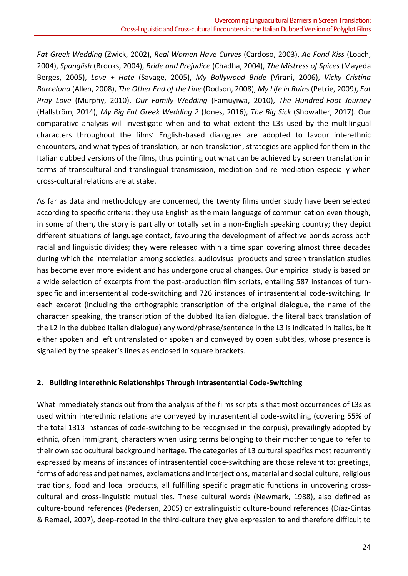*Fat Greek Wedding* (Zwick, 2002), *Real Women Have Curves* (Cardoso, 2003), *Ae Fond Kiss* (Loach, 2004), *Spanglish* (Brooks, 2004), *Bride and Prejudice* (Chadha, 2004), *The Mistress of Spices* (Mayeda Berges, 2005), *Love + Hate* (Savage, 2005), *My Bollywood Bride* (Virani, 2006), *Vicky Cristina Barcelona* (Allen, 2008), *The Other End of the Line* (Dodson, 2008), *My Life in Ruins* (Petrie, 2009), *Eat Pray Love* (Murphy, 2010), *Our Family Wedding* (Famuyiwa, 2010), *The Hundred-Foot Journey* (Hallström, 2014), *My Big Fat Greek Wedding 2* (Jones, 2016), *The Big Sick* (Showalter, 2017). Our comparative analysis will investigate when and to what extent the L3s used by the multilingual characters throughout the films' English-based dialogues are adopted to favour interethnic encounters, and what types of translation, or non-translation, strategies are applied for them in the Italian dubbed versions of the films, thus pointing out what can be achieved by screen translation in terms of transcultural and translingual transmission, mediation and re-mediation especially when cross-cultural relations are at stake.

As far as data and methodology are concerned, the twenty films under study have been selected according to specific criteria: they use English as the main language of communication even though, in some of them, the story is partially or totally set in a non-English speaking country; they depict different situations of language contact, favouring the development of affective bonds across both racial and linguistic divides; they were released within a time span covering almost three decades during which the interrelation among societies, audiovisual products and screen translation studies has become ever more evident and has undergone crucial changes. Our empirical study is based on a wide selection of excerpts from the post-production film scripts, entailing 587 instances of turnspecific and intersentential code-switching and 726 instances of intrasentential code-switching. In each excerpt (including the orthographic transcription of the original dialogue, the name of the character speaking, the transcription of the dubbed Italian dialogue, the literal back translation of the L2 in the dubbed Italian dialogue) any word/phrase/sentence in the L3 is indicated in italics, be it either spoken and left untranslated or spoken and conveyed by open subtitles, whose presence is signalled by the speaker's lines as enclosed in square brackets.

## **2. Building Interethnic Relationships Through Intrasentential Code-Switching**

What immediately stands out from the analysis of the films scripts is that most occurrences of L3s as used within interethnic relations are conveyed by intrasentential code-switching (covering 55% of the total 1313 instances of code-switching to be recognised in the corpus), prevailingly adopted by ethnic, often immigrant, characters when using terms belonging to their mother tongue to refer to their own sociocultural background heritage. The categories of L3 cultural specifics most recurrently expressed by means of instances of intrasentential code-switching are those relevant to: greetings, forms of address and pet names, exclamations and interjections, material and social culture, religious traditions, food and local products, all fulfilling specific pragmatic functions in uncovering crosscultural and cross-linguistic mutual ties. These cultural words (Newmark, 1988), also defined as culture-bound references (Pedersen, 2005) or extralinguistic culture-bound references (Díaz-Cintas & Remael, 2007), deep-rooted in the third-culture they give expression to and therefore difficult to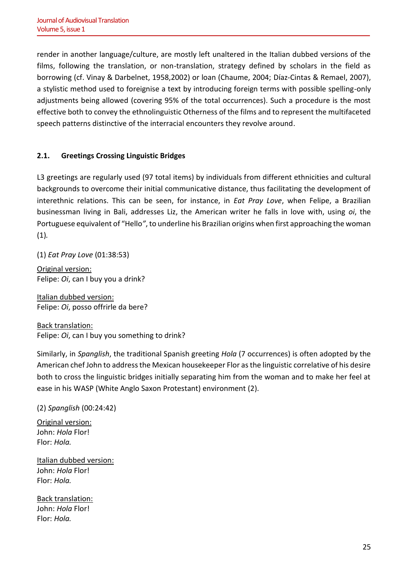render in another language/culture, are mostly left unaltered in the Italian dubbed versions of the films, following the translation, or non-translation, strategy defined by scholars in the field as borrowing (cf. Vinay & Darbelnet, 1958,2002) or loan (Chaume, 2004; Díaz-Cintas & Remael, 2007), a stylistic method used to foreignise a text by introducing foreign terms with possible spelling-only adjustments being allowed (covering 95% of the total occurrences). Such a procedure is the most effective both to convey the ethnolinguistic Otherness of the films and to represent the multifaceted speech patterns distinctive of the interracial encounters they revolve around.

# **2.1. Greetings Crossing Linguistic Bridges**

L3 greetings are regularly used (97 total items) by individuals from different ethnicities and cultural backgrounds to overcome their initial communicative distance, thus facilitating the development of interethnic relations. This can be seen, for instance, in *Eat Pray Love*, when Felipe, a Brazilian businessman living in Bali, addresses Liz, the American writer he falls in love with, using *oi*, the Portuguese equivalent of "Hello*"*, to underline his Brazilian origins when first approaching the woman (1)*.*

(1) *Eat Pray Love* (01:38:53)

Original version: Felipe: *Oi*, can I buy you a drink?

Italian dubbed version: Felipe: *Oi*, posso offrirle da bere?

Back translation: Felipe: *Oi*, can I buy you something to drink?

Similarly, in *Spanglish*, the traditional Spanish greeting *Hola* (7 occurrences) is often adopted by the American chef John to address the Mexican housekeeper Flor as the linguistic correlative of his desire both to cross the linguistic bridges initially separating him from the woman and to make her feel at ease in his WASP (White Anglo Saxon Protestant) environment (2).

## (2) *Spanglish* (00:24:42)

Original version: John: *Hola* Flor! Flor: *Hola.*

Italian dubbed version: John: *Hola* Flor! Flor: *Hola.*

Back translation: John: *Hola* Flor! Flor: *Hola.*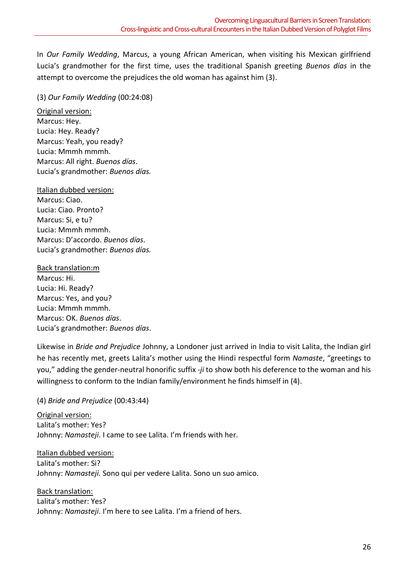In *Our Family Wedding*, Marcus, a young African American, when visiting his Mexican girlfriend Lucia's grandmother for the first time, uses the traditional Spanish greeting *Buenos días* in the attempt to overcome the prejudices the old woman has against him (3).

# (3) *Our Family Wedding* (00:24:08)

Original version: Marcus: Hey. Lucia: Hey. Ready? Marcus: Yeah, you ready? Lucia: Mmmh mmmh. Marcus: All right. *Buenos días*. Lucia's grandmother: *Buenos días.*

# Italian dubbed version:

Marcus: Ciao. Lucia: Ciao. Pronto? Marcus: Si, e tu? Lucia: Mmmh mmmh. Marcus: D'accordo. *Buenos días*. Lucia's grandmother: *Buenos días.*

Back translation:m Marcus: Hi. Lucia: Hi. Ready? Marcus: Yes, and you? Lucia: Mmmh mmmh. Marcus: OK. *Buenos días*. Lucia's grandmother: *Buenos días*.

Likewise in *Bride and Prejudice* Johnny, a Londoner just arrived in India to visit Lalita, the Indian girl he has recently met, greets Lalita's mother using the Hindi respectful form *Namaste*, "greetings to you," adding the gender-neutral honorific suffix -*ji* to show both his deference to the woman and his willingness to conform to the Indian family/environment he finds himself in (4).

# (4) *Bride and Prejudice* (00:43:44)

Original version: Lalita's mother: Yes? Johnny: *Namasteji*. I came to see Lalita. I'm friends with her.

Italian dubbed version: Lalita's mother: Si? Johnny: *Namasteji.* Sono qui per vedere Lalita. Sono un suo amico.

Back translation: Lalita's mother: Yes? Johnny: *Namasteji*. I'm here to see Lalita. I'm a friend of hers.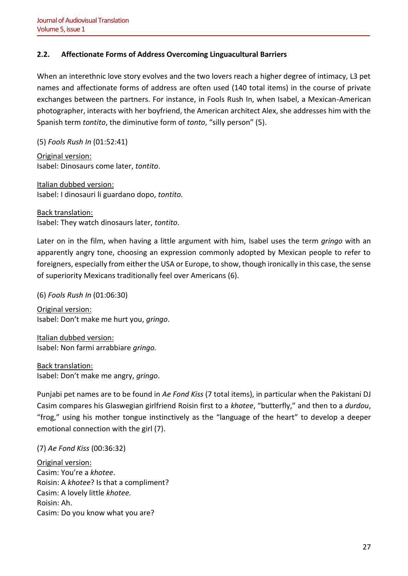# **2.2. Affectionate Forms of Address Overcoming Linguacultural Barriers**

When an interethnic love story evolves and the two lovers reach a higher degree of intimacy, L3 pet names and affectionate forms of address are often used (140 total items) in the course of private exchanges between the partners. For instance, in Fools Rush In, when Isabel, a Mexican-American photographer, interacts with her boyfriend, the American architect Alex, she addresses him with the Spanish term *tontito*, the diminutive form of *tonto*, "silly person" (5).

(5) *Fools Rush In* (01:52:41)

Original version: Isabel: Dinosaurs come later, *tontito*.

Italian dubbed version: Isabel: I dinosauri li guardano dopo, *tontito.*

Back translation: Isabel: They watch dinosaurs later, *tontito*.

Later on in the film, when having a little argument with him, Isabel uses the term *gringo* with an apparently angry tone, choosing an expression commonly adopted by Mexican people to refer to foreigners, especially from either the USA or Europe, to show, though ironically in this case, the sense of superiority Mexicans traditionally feel over Americans (6).

(6) *Fools Rush In* (01:06:30) Original version:

Isabel: Don't make me hurt you, *gringo*.

Italian dubbed version: Isabel: Non farmi arrabbiare *gringo.*

Back translation: Isabel: Don't make me angry, *gringo*.

Punjabi pet names are to be found in *Ae Fond Kiss* (7 total items), in particular when the Pakistani DJ Casim compares his Glaswegian girlfriend Roisin first to a *khotee*, "butterfly," and then to a *durdou*, "frog," using his mother tongue instinctively as the "language of the heart" to develop a deeper emotional connection with the girl (7).

(7) *Ae Fond Kiss* (00:36:32)

Original version: Casim: You're a *khotee*. Roisin: A *khotee*? Is that a compliment? Casim: A lovely little *khotee.* Roisin: Ah. Casim: Do you know what you are?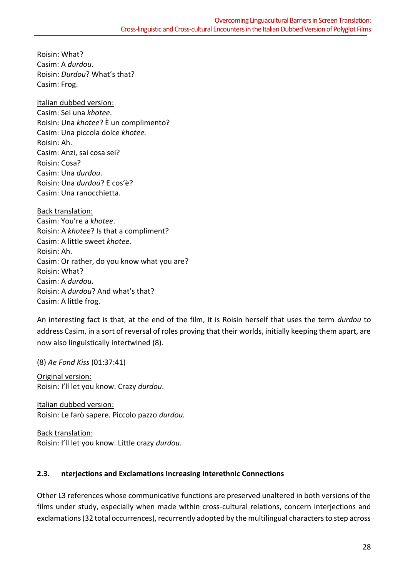Roisin: What? Casim: A *durdou*. Roisin: *Durdou*? What's that? Casim: Frog.

Italian dubbed version: Casim: Sei una *khotee*. Roisin: Una *khotee*? È un complimento? Casim: Una piccola dolce *khotee.* Roisin: Ah. Casim: Anzi, sai cosa sei? Roisin: Cosa? Casim: Una *durdou*. Roisin: Una *durdou*? E cos'è? Casim: Una ranocchietta.

Back translation: Casim: You're a *khotee*. Roisin: A *khotee*? Is that a compliment? Casim: A little sweet *khotee.* Roisin: Ah. Casim: Or rather, do you know what you are? Roisin: What? Casim: A *durdou*. Roisin: A *durdou*? And what's that? Casim: A little frog.

An interesting fact is that, at the end of the film, it is Roisin herself that uses the term *durdou* to address Casim, in a sort of reversal of roles proving that their worlds, initially keeping them apart, are now also linguistically intertwined (8).

(8) *Ae Fond Kiss* (01:37:41)

Original version: Roisin: I'll let you know. Crazy *durdou*.

Italian dubbed version: Roisin: Le farò sapere. Piccolo pazzo *durdou.*

Back translation: Roisin: I'll let you know. Little crazy *durdou.*

# **2.3. nterjections and Exclamations Increasing Interethnic Connections**

Other L3 references whose communicative functions are preserved unaltered in both versions of the films under study, especially when made within cross-cultural relations, concern interjections and exclamations (32 total occurrences), recurrently adopted by the multilingual characters to step across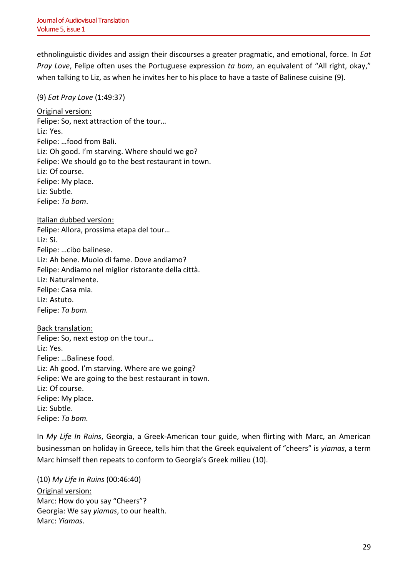ethnolinguistic divides and assign their discourses a greater pragmatic, and emotional, force. In *Eat Pray Love*, Felipe often uses the Portuguese expression *ta bom*, an equivalent of "All right, okay," when talking to Liz, as when he invites her to his place to have a taste of Balinese cuisine (9).

#### (9) *Eat Pray Love* (1:49:37)

Original version: Felipe: So, next attraction of the tour… Liz: Yes. Felipe: …food from Bali. Liz: Oh good. I'm starving. Where should we go? Felipe: We should go to the best restaurant in town. Liz: Of course. Felipe: My place. Liz: Subtle. Felipe: *Ta bom*.

Italian dubbed version: Felipe: Allora, prossima etapa del tour… Liz: Si. Felipe: …cibo balinese. Liz: Ah bene. Muoio di fame. Dove andiamo? Felipe: Andiamo nel miglior ristorante della città. Liz: Naturalmente. Felipe: Casa mia. Liz: Astuto. Felipe: *Ta bom.*

Back translation: Felipe: So, next estop on the tour… Liz: Yes. Felipe: …Balinese food. Liz: Ah good. I'm starving. Where are we going? Felipe: We are going to the best restaurant in town. Liz: Of course. Felipe: My place. Liz: Subtle. Felipe: *Ta bom.*

In *My Life In Ruins*, Georgia, a Greek-American tour guide, when flirting with Marc, an American businessman on holiday in Greece, tells him that the Greek equivalent of "cheers" is *yiamas*, a term Marc himself then repeats to conform to Georgia's Greek milieu (10).

(10) *My Life In Ruins* (00:46:40) Original version: Marc: How do you say "Cheers"? Georgia: We say *yiamas*, to our health. Marc: *Yiamas*.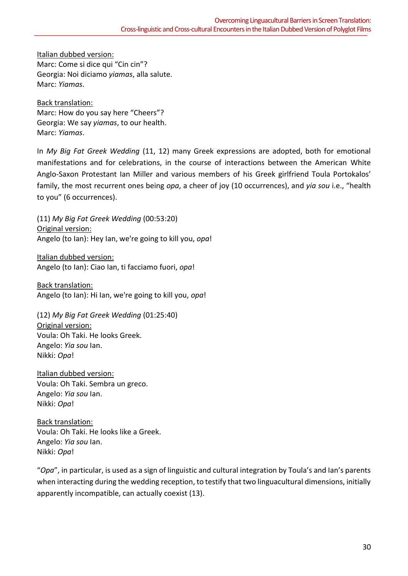Italian dubbed version:

Marc: Come si dice qui "Cin cin"? Georgia: Noi diciamo *yiamas*, alla salute. Marc: *Yiamas*.

Back translation: Marc: How do you say here "Cheers"? Georgia: We say *yiamas*, to our health. Marc: *Yiamas*.

In *My Big Fat Greek Wedding* (11, 12) many Greek expressions are adopted, both for emotional manifestations and for celebrations, in the course of interactions between the American White Anglo-Saxon Protestant Ian Miller and various members of his Greek girlfriend Toula Portokalos' family, the most recurrent ones being *opa*, a cheer of joy (10 occurrences), and *yia sou* i.e., "health to you" (6 occurrences).

(11) *My Big Fat Greek Wedding* (00:53:20) Original version: Angelo (to Ian): Hey Ian, we're going to kill you, *opa*!

Italian dubbed version: Angelo (to Ian): Ciao Ian, ti facciamo fuori, *opa*!

Back translation: Angelo (to Ian): Hi Ian, we're going to kill you, *opa*!

(12) *My Big Fat Greek Wedding* (01:25:40) Original version: Voula: Oh Taki. He looks Greek. Angelo: *Yia sou* Ian. Nikki: *Opa*!

Italian dubbed version: Voula: Oh Taki. Sembra un greco. Angelo: *Yia sou* Ian. Nikki: *Opa*!

Back translation: Voula: Oh Taki. He looks like a Greek. Angelo: *Yia sou* Ian. Nikki: *Opa*!

"*Opa*", in particular, is used as a sign of linguistic and cultural integration by Toula's and Ian's parents when interacting during the wedding reception, to testify that two linguacultural dimensions, initially apparently incompatible, can actually coexist (13).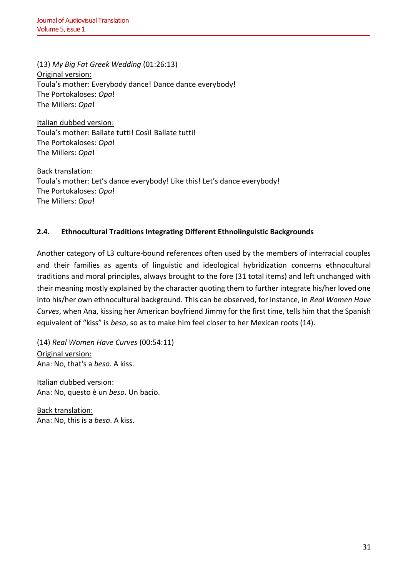(13) *My Big Fat Greek Wedding* (01:26:13) Original version: Toula's mother: Everybody dance! Dance dance everybody! The Portokaloses: *Opa*! The Millers: *Opa*!

Italian dubbed version: Toula's mother: Ballate tutti! Così! Ballate tutti! The Portokaloses: *Opa*! The Millers: *Opa*!

Back translation: Toula's mother: Let's dance everybody! Like this! Let's dance everybody! The Portokaloses: *Opa*! The Millers: *Opa*!

# **2.4. Ethnocultural Traditions Integrating Different Ethnolinguistic Backgrounds**

Another category of L3 culture-bound references often used by the members of interracial couples and their families as agents of linguistic and ideological hybridization concerns ethnocultural traditions and moral principles, always brought to the fore (31 total items) and left unchanged with their meaning mostly explained by the character quoting them to further integrate his/her loved one into his/her own ethnocultural background. This can be observed, for instance, in *Real Women Have Curves*, when Ana, kissing her American boyfriend Jimmy for the first time, tells him that the Spanish equivalent of "kiss" is *beso*, so as to make him feel closer to her Mexican roots (14).

(14) *Real Women Have Curves* (00:54:11) Original version: Ana: No, that's a *beso*. A kiss.

Italian dubbed version: Ana: No, questo è un *beso*. Un bacio.

Back translation: Ana: No, this is a *beso*. A kiss.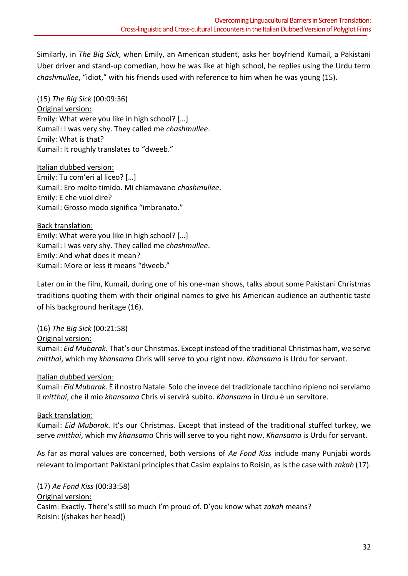Similarly, in *The Big Sick*, when Emily, an American student, asks her boyfriend Kumail, a Pakistani Uber driver and stand-up comedian, how he was like at high school, he replies using the Urdu term *chashmullee*, "idiot," with his friends used with reference to him when he was young (15).

(15) *The Big Sick* (00:09:36) Original version: Emily: What were you like in high school? […] Kumail: I was very shy. They called me *chashmullee*. Emily: What is that? Kumail: It roughly translates to "dweeb."

Italian dubbed version: Emily: Tu com'eri al liceo? […] Kumail: Ero molto timido. Mi chiamavano *chashmullee*. Emily: E che vuol dire? Kumail: Grosso modo significa "imbranato."

Back translation: Emily: What were you like in high school? […] Kumail: I was very shy. They called me *chashmullee*. Emily: And what does it mean? Kumail: More or less it means "dweeb."

Later on in the film, Kumail, during one of his one-man shows, talks about some Pakistani Christmas traditions quoting them with their original names to give his American audience an authentic taste of his background heritage (16).

(16) *The Big Sick* (00:21:58) Original version:

Kumail: *Eid Mubarak*. That's our Christmas. Except instead of the traditional Christmas ham, we serve *mitthai*, which my *khansama* Chris will serve to you right now. *Khansama* is Urdu for servant.

# Italian dubbed version:

Kumail: *Eid Mubarak*. È il nostro Natale. Solo che invece del tradizionale tacchino ripieno noi serviamo il *mitthai*, che il mio *khansama* Chris vi servirà subito. *Khansama* in Urdu è un servitore.

# Back translation:

Kumail: *Eid Mubarak*. It's our Christmas. Except that instead of the traditional stuffed turkey, we serve *mitthai*, which my *khansama* Chris will serve to you right now. *Khansama* is Urdu for servant.

As far as moral values are concerned, both versions of *Ae Fond Kiss* include many Punjabi words relevant to important Pakistani principles that Casim explains to Roisin, as is the case with *zakah* (17).

(17) *Ae Fond Kiss* (00:33:58) Original version: Casim: Exactly. There's still so much I'm proud of. D'you know what *zakah* means? Roisin: ((shakes her head))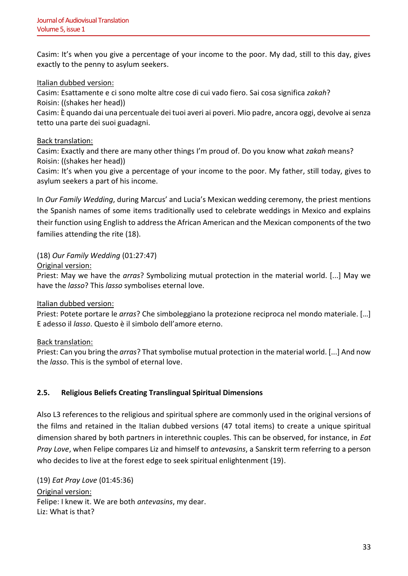Casim: It's when you give a percentage of your income to the poor. My dad, still to this day, gives exactly to the penny to asylum seekers.

# Italian dubbed version:

Casim: Esattamente e ci sono molte altre cose di cui vado fiero. Sai cosa significa *zakah*? Roisin: ((shakes her head))

Casim: È quando dai una percentuale dei tuoi averi ai poveri. Mio padre, ancora oggi, devolve ai senza tetto una parte dei suoi guadagni.

## Back translation:

Casim: Exactly and there are many other things I'm proud of. Do you know what *zakah* means? Roisin: ((shakes her head))

Casim: It's when you give a percentage of your income to the poor. My father, still today, gives to asylum seekers a part of his income.

In *Our Family Wedding*, during Marcus' and Lucia's Mexican wedding ceremony, the priest mentions the Spanish names of some items traditionally used to celebrate weddings in Mexico and explains their function using English to address the African American and the Mexican components of the two families attending the rite (18).

# (18) *Our Family Wedding* (01:27:47)

Original version:

Priest: May we have the *arras*? Symbolizing mutual protection in the material world. [...] May we have the *lasso*? This *lasso* symbolises eternal love.

## Italian dubbed version:

Priest: Potete portare le *arras*? Che simboleggiano la protezione reciproca nel mondo materiale. […] E adesso il *lasso*. Questo è il simbolo dell'amore eterno.

## Back translation:

Priest: Can you bring the *arras*? That symbolise mutual protection in the material world. [...] And now the *lasso*. This is the symbol of eternal love.

# **2.5. Religious Beliefs Creating Translingual Spiritual Dimensions**

Also L3 references to the religious and spiritual sphere are commonly used in the original versions of the films and retained in the Italian dubbed versions (47 total items) to create a unique spiritual dimension shared by both partners in interethnic couples. This can be observed, for instance, in *Eat Pray Love*, when Felipe compares Liz and himself to *antevasins*, a Sanskrit term referring to a person who decides to live at the forest edge to seek spiritual enlightenment (19).

(19) *Eat Pray Love* (01:45:36)

Original version: Felipe: I knew it. We are both *antevasins*, my dear. Liz: What is that?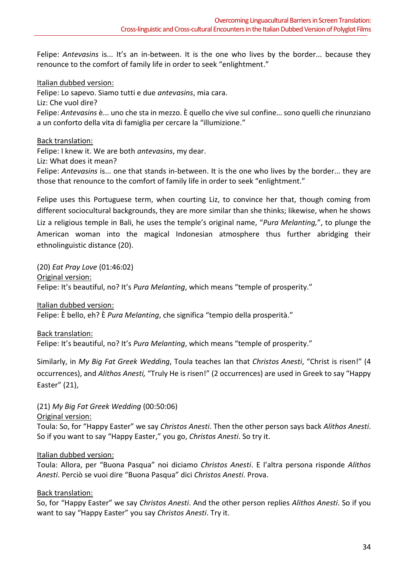Felipe: *Antevasins* is... It's an in-between. It is the one who lives by the border... because they renounce to the comfort of family life in order to seek "enlightment."

Italian dubbed version:

Felipe: Lo sapevo. Siamo tutti e due *antevasins*, mia cara.

Liz: Che vuol dire?

Felipe: *Antevasins* è... uno che sta in mezzo. È quello che vive sul confine… sono quelli che rinunziano a un conforto della vita di famiglia per cercare la "illumizione."

Back translation:

Felipe: I knew it. We are both *antevasins*, my dear.

Liz: What does it mean?

Felipe: *Antevasins* is... one that stands in-between. It is the one who lives by the border... they are those that renounce to the comfort of family life in order to seek "enlightment."

Felipe uses this Portuguese term, when courting Liz, to convince her that, though coming from different sociocultural backgrounds, they are more similar than she thinks; likewise, when he shows Liz a religious temple in Bali, he uses the temple's original name, "*Pura Melanting,*", to plunge the American woman into the magical Indonesian atmosphere thus further abridging their ethnolinguistic distance (20).

(20) *Eat Pray Love* (01:46:02) Original version: Felipe: It's beautiful, no? It's *Pura Melanting*, which means "temple of prosperity."

Italian dubbed version:

Felipe: È bello, eh? È *Pura Melanting*, che significa "tempio della prosperità."

Back translation: Felipe: It's beautiful, no? It's *Pura Melanting*, which means "temple of prosperity."

Similarly, in *My Big Fat Greek Wedding*, Toula teaches Ian that *Christos Anesti*, "Christ is risen!" (4 occurrences), and *Alithos Anesti,* "Truly He is risen!" (2 occurrences) are used in Greek to say "Happy Easter" (21),

(21) *My Big Fat Greek Wedding* (00:50:06)

Original version:

Toula: So, for "Happy Easter" we say *Christos Anesti*. Then the other person says back *Alithos Anesti*. So if you want to say "Happy Easter," you go, *Christos Anesti*. So try it.

## Italian dubbed version:

Toula: Allora, per "Buona Pasqua" noi diciamo *Christos Anesti*. E l'altra persona risponde *Alithos Anesti*. Perciò se vuoi dire "Buona Pasqua" dici *Christos Anesti*. Prova.

## Back translation:

So, for "Happy Easter" we say *Christos Anesti*. And the other person replies *Alithos Anesti*. So if you want to say "Happy Easter" you say *Christos Anesti*. Try it.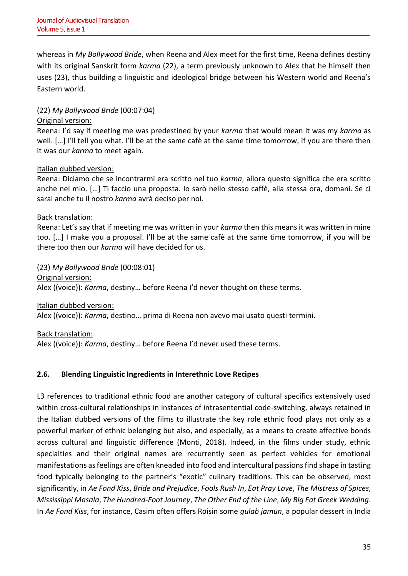whereas in *My Bollywood Bride*, when Reena and Alex meet for the first time, Reena defines destiny with its original Sanskrit form *karma* (22), a term previously unknown to Alex that he himself then uses (23), thus building a linguistic and ideological bridge between his Western world and Reena's Eastern world.

## (22) *My Bollywood Bride* (00:07:04)

### Original version:

Reena: I'd say if meeting me was predestined by your *karma* that would mean it was my *karma* as well. […] I'll tell you what. I'll be at the same cafè at the same time tomorrow, if you are there then it was our *karma* to meet again.

#### Italian dubbed version:

Reena: Diciamo che se incontrarmi era scritto nel tuo *karma*, allora questo significa che era scritto anche nel mio. […] Ti faccio una proposta. Io sarò nello stesso caffè, alla stessa ora, domani. Se ci sarai anche tu il nostro *karma* avrà deciso per noi.

#### Back translation:

Reena: Let's say that if meeting me was written in your *karma* then this means it was written in mine too. […] I make you a proposal. I'll be at the same cafè at the same time tomorrow, if you will be there too then our *karma* will have decided for us.

(23) *My Bollywood Bride* (00:08:01) Original version: Alex ((voice)): *Karma*, destiny… before Reena I'd never thought on these terms.

Italian dubbed version:

Alex ((voice)): *Karma*, destino… prima di Reena non avevo mai usato questi termini.

Back translation:

Alex ((voice)): *Karma*, destiny… before Reena I'd never used these terms.

## **2.6. Blending Linguistic Ingredients in Interethnic Love Recipes**

L3 references to traditional ethnic food are another category of cultural specifics extensively used within cross-cultural relationships in instances of intrasentential code-switching, always retained in the Italian dubbed versions of the films to illustrate the key role ethnic food plays not only as a powerful marker of ethnic belonging but also, and especially, as a means to create affective bonds across cultural and linguistic difference (Monti, 2018). Indeed, in the films under study, ethnic specialties and their original names are recurrently seen as perfect vehicles for emotional manifestations as feelings are often kneaded into food and intercultural passions find shape in tasting food typically belonging to the partner's "exotic" culinary traditions. This can be observed, most significantly, in *Ae Fond Kiss*, *Bride and Prejudice*, *Fools Rush In*, *Eat Pray Love*, *The Mistress of Spices*, *Mississippi Masala*, *The Hundred-Foot Journey*, *The Other End of the Line*, *My Big Fat Greek Wedding*. In *Ae Fond Kiss*, for instance, Casim often offers Roisin some *gulab jamun*, a popular dessert in India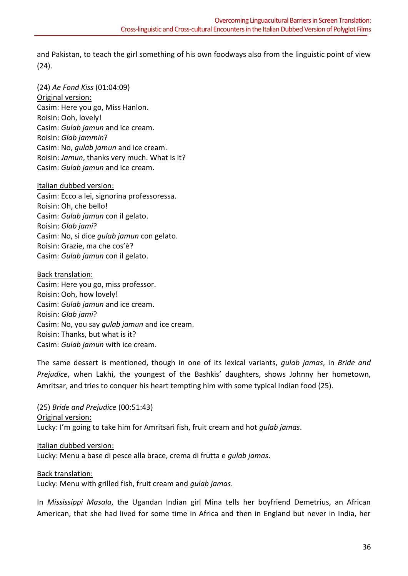and Pakistan, to teach the girl something of his own foodways also from the linguistic point of view (24).

(24) *Ae Fond Kiss* (01:04:09) Original version: Casim: Here you go, Miss Hanlon. Roisin: Ooh, lovely! Casim: *Gulab jamun* and ice cream. Roisin: *Glab jammin*? Casim: No, *gulab jamun* and ice cream. Roisin: *Jamun*, thanks very much. What is it? Casim: *Gulab jamun* and ice cream.

#### Italian dubbed version:

Casim: Ecco a lei, signorina professoressa. Roisin: Oh, che bello! Casim: *Gulab jamun* con il gelato. Roisin: *Glab jami*? Casim: No, si dice *gulab jamun* con gelato. Roisin: Grazie, ma che cos'è? Casim: *Gulab jamun* con il gelato.

Back translation: Casim: Here you go, miss professor. Roisin: Ooh, how lovely! Casim: *Gulab jamun* and ice cream. Roisin: *Glab jami*? Casim: No, you say *gulab jamun* and ice cream. Roisin: Thanks, but what is it? Casim: *Gulab jamun* with ice cream.

The same dessert is mentioned, though in one of its lexical variants, *gulab jamas*, in *Bride and Prejudice*, when Lakhi, the youngest of the Bashkis' daughters, shows Johnny her hometown, Amritsar, and tries to conquer his heart tempting him with some typical Indian food (25).

(25) *Bride and Prejudice* (00:51:43) Original version: Lucky: I'm going to take him for Amritsari fish, fruit cream and hot *gulab jamas*.

Italian dubbed version: Lucky: Menu a base di pesce alla brace, crema di frutta e *gulab jamas*.

Back translation:

Lucky: Menu with grilled fish, fruit cream and *gulab jamas*.

In *Mississippi Masala*, the Ugandan Indian girl Mina tells her boyfriend Demetrius, an African American, that she had lived for some time in Africa and then in England but never in India, her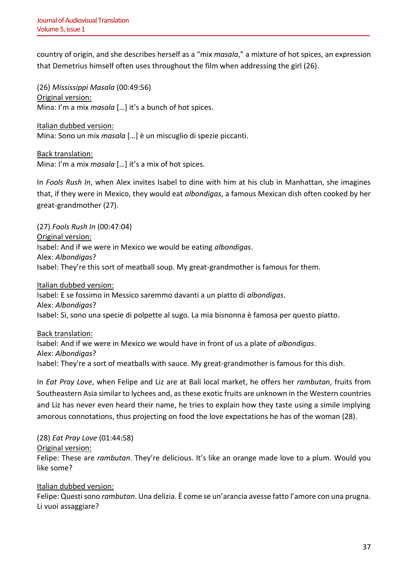country of origin, and she describes herself as a "mix *masala*," a mixture of hot spices, an expression that Demetrius himself often uses throughout the film when addressing the girl (26).

(26) *Mississippi Masala* (00:49:56) Original version: Mina: I'm a mix *masala* […] it's a bunch of hot spices.

Italian dubbed version: Mina: Sono un mix *masala* […] è un miscuglio di spezie piccanti.

Back translation: Mina: I'm a mix *masala* […] it's a mix of hot spices.

In *Fools Rush In*, when Alex invites Isabel to dine with him at his club in Manhattan, she imagines that, if they were in Mexico, they would eat *albondigas*, a famous Mexican dish often cooked by her great-grandmother (27).

(27) *Fools Rush In* (00:47:04) Original version: Isabel: And if we were in Mexico we would be eating *albondigas*. Alex: *Albondigas*? Isabel: They're this sort of meatball soup. My great-grandmother is famous for them.

Italian dubbed version: Isabel: E se fossimo in Messico saremmo davanti a un piatto di *albondigas*. Alex: *Albondigas*? Isabel: Sì, sono una specie di polpette al sugo. La mia bisnonna è famosa per questo piatto.

Back translation: Isabel: And if we were in Mexico we would have in front of us a plate of *albondigas*. Alex: *Albondigas*? Isabel: They're a sort of meatballs with sauce. My great-grandmother is famous for this dish.

In *Eat Pray Love*, when Felipe and Liz are at Bali local market, he offers her *rambutan*, fruits from Southeastern Asia similar to lychees and, as these exotic fruits are unknown in the Western countries and Liz has never even heard their name, he tries to explain how they taste using a simile implying amorous connotations, thus projecting on food the love expectations he has of the woman (28).

(28) *Eat Pray Love* (01:44:58)

Original version:

Felipe: These are *rambutan*. They're delicious. It's like an orange made love to a plum. Would you like some?

## Italian dubbed version:

Felipe: Questi sono *rambutan*. Una delizia. È come se un'arancia avesse fatto l'amore con una prugna. Li vuoi assaggiare?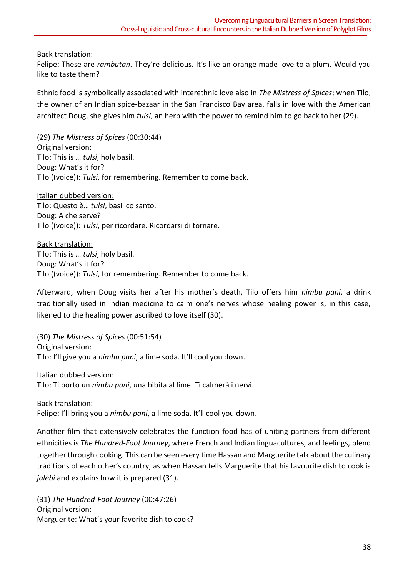## Back translation:

Felipe: These are *rambutan*. They're delicious. It's like an orange made love to a plum. Would you like to taste them?

Ethnic food is symbolically associated with interethnic love also in *The Mistress of Spices*; when Tilo, the owner of an Indian spice-bazaar in the San Francisco Bay area, falls in love with the American architect Doug, she gives him *tulsi*, an herb with the power to remind him to go back to her (29).

(29) *The Mistress of Spices* (00:30:44) Original version: Tilo: This is … *tulsi*, holy basil. Doug: What's it for? Tilo ((voice)): *Tulsi*, for remembering. Remember to come back.

Italian dubbed version: Tilo: Questo è… *tulsi*, basilico santo. Doug: A che serve? Tilo ((voice)): *Tulsi*, per ricordare. Ricordarsi di tornare.

Back translation: Tilo: This is … *tulsi*, holy basil. Doug: What's it for? Tilo ((voice)): *Tulsi*, for remembering. Remember to come back.

Afterward, when Doug visits her after his mother's death, Tilo offers him *nimbu pani*, a drink traditionally used in Indian medicine to calm one's nerves whose healing power is, in this case, likened to the healing power ascribed to love itself (30).

(30) *The Mistress of Spices* (00:51:54) Original version: Tilo: I'll give you a *nimbu pani*, a lime soda. It'll cool you down.

#### Italian dubbed version:

Tilo: Ti porto un *nimbu pani*, una bibita al lime. Ti calmerà i nervi.

#### Back translation:

Felipe: I'll bring you a *nimbu pani*, a lime soda. It'll cool you down.

Another film that extensively celebrates the function food has of uniting partners from different ethnicities is *The Hundred-Foot Journey*, where French and Indian linguacultures, and feelings, blend together through cooking. This can be seen every time Hassan and Marguerite talk about the culinary traditions of each other's country, as when Hassan tells Marguerite that his favourite dish to cook is *jalebi* and explains how it is prepared (31).

(31) *The Hundred-Foot Journey* (00:47:26) Original version: Marguerite: What's your favorite dish to cook?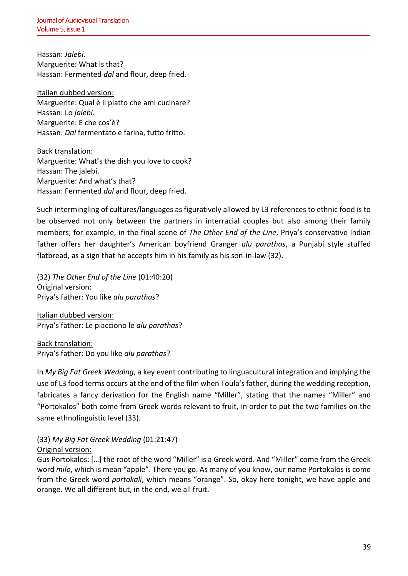Hassan: *Jalebi*. Marguerite: What is that? Hassan: Fermented *dal* and flour, deep fried.

Italian dubbed version: Marguerite: Qual è il piatto che ami cucinare? Hassan: Lo *jalebi*. Marguerite: E che cos'è? Hassan: *Dal* fermentato e farina, tutto fritto.

Back translation: Marguerite: What's the dish you love to cook? Hassan: The jalebi. Marguerite: And what's that? Hassan: Fermented *dal* and flour, deep fried.

Such intermingling of cultures/languages as figuratively allowed by L3 references to ethnic food is to be observed not only between the partners in interracial couples but also among their family members; for example, in the final scene of *The Other End of the Line*, Priya's conservative Indian father offers her daughter's American boyfriend Granger *alu parathas*, a Punjabi style stuffed flatbread, as a sign that he accepts him in his family as his son-in-law (32).

(32) *The Other End of the Line* (01:40:20) Original version: Priya's father: You like *alu parathas*?

Italian dubbed version: Priya's father: Le piacciono le *alu parathas*?

Back translation: Priya's father: Do you like *alu parathas*?

In *My Big Fat Greek Wedding*, a key event contributing to linguacultural integration and implying the use of L3 food terms occurs at the end of the film when Toula's father, during the wedding reception, fabricates a fancy derivation for the English name "Miller", stating that the names "Miller" and "Portokalos" both come from Greek words relevant to fruit, in order to put the two families on the same ethnolinguistic level (33).

(33) *My Big Fat Greek Wedding* (01:21:47) Original version:

Gus Portokalos: […] the root of the word "Miller" is a Greek word. And "Miller" come from the Greek word *milo*, which is mean "apple". There you go. As many of you know, our name Portokalos is come from the Greek word *portokali*, which means "orange". So, okay here tonight, we have apple and orange. We all different but, in the end, we all fruit.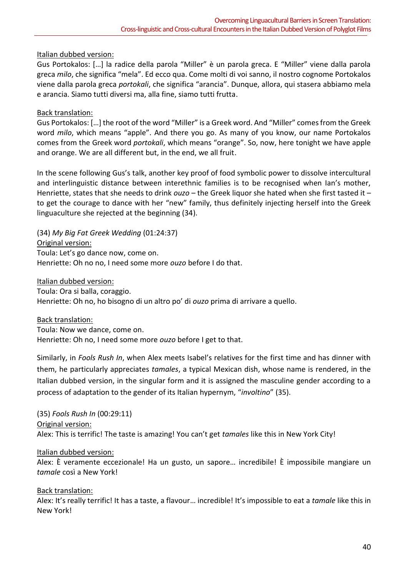### Italian dubbed version:

Gus Portokalos: […] la radice della parola "Miller" è un parola greca. E "Miller" viene dalla parola greca *milo*, che significa "mela". Ed ecco qua. Come molti di voi sanno, il nostro cognome Portokalos viene dalla parola greca *portokali*, che significa "arancia". Dunque, allora, qui stasera abbiamo mela e arancia. Siamo tutti diversi ma, alla fine, siamo tutti frutta.

### Back translation:

Gus Portokalos: […] the root of the word "Miller" is a Greek word. And "Miller" comes from the Greek word *milo*, which means "apple". And there you go. As many of you know, our name Portokalos comes from the Greek word *portokali*, which means "orange". So, now, here tonight we have apple and orange. We are all different but, in the end, we all fruit.

In the scene following Gus's talk, another key proof of food symbolic power to dissolve intercultural and interlinguistic distance between interethnic families is to be recognised when Ian's mother, Henriette, states that she needs to drink *ouzo* – the Greek liquor she hated when she first tasted it – to get the courage to dance with her "new" family, thus definitely injecting herself into the Greek linguaculture she rejected at the beginning (34).

(34) *My Big Fat Greek Wedding* (01:24:37) Original version: Toula: Let's go dance now, come on. Henriette: Oh no no, I need some more *ouzo* before I do that.

Italian dubbed version: Toula: Ora si balla, coraggio. Henriette: Oh no, ho bisogno di un altro po' di *ouzo* prima di arrivare a quello.

#### Back translation:

Toula: Now we dance, come on. Henriette: Oh no, I need some more *ouzo* before I get to that.

Similarly, in *Fools Rush In*, when Alex meets Isabel's relatives for the first time and has dinner with them, he particularly appreciates *tamales*, a typical Mexican dish, whose name is rendered, in the Italian dubbed version, in the singular form and it is assigned the masculine gender according to a process of adaptation to the gender of its Italian hypernym, "*involtino*" (35).

(35) *Fools Rush In* (00:29:11) Original version: Alex: This is terrific! The taste is amazing! You can't get *tamales* like this in New York City!

#### Italian dubbed version:

Alex: È veramente eccezionale! Ha un gusto, un sapore… incredibile! È impossibile mangiare un *tamale* così a New York!

#### Back translation:

Alex: It's really terrific! It has a taste, a flavour… incredible! It's impossible to eat a *tamale* like this in New York!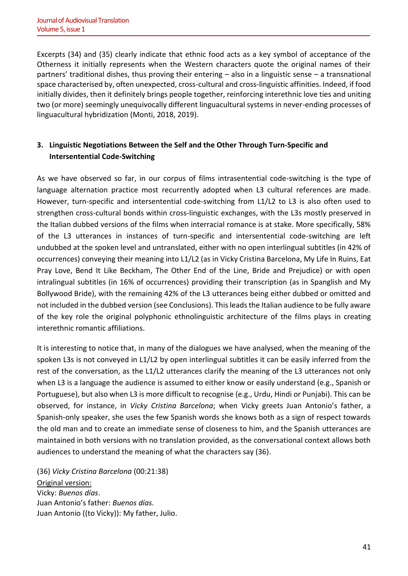Excerpts (34) and (35) clearly indicate that ethnic food acts as a key symbol of acceptance of the Otherness it initially represents when the Western characters quote the original names of their partners' traditional dishes, thus proving their entering – also in a linguistic sense – a transnational space characterised by, often unexpected, cross-cultural and cross-linguistic affinities. Indeed, if food initially divides, then it definitely brings people together, reinforcing interethnic love ties and uniting two (or more) seemingly unequivocally different linguacultural systems in never-ending processes of linguacultural hybridization (Monti, 2018, 2019).

# **3. Linguistic Negotiations Between the Self and the Other Through Turn-Specific and Intersentential Code-Switching**

As we have observed so far, in our corpus of films intrasentential code-switching is the type of language alternation practice most recurrently adopted when L3 cultural references are made. However, turn-specific and intersentential code-switching from L1/L2 to L3 is also often used to strengthen cross-cultural bonds within cross-linguistic exchanges, with the L3s mostly preserved in the Italian dubbed versions of the films when interracial romance is at stake. More specifically, 58% of the L3 utterances in instances of turn-specific and intersentential code-switching are left undubbed at the spoken level and untranslated, either with no open interlingual subtitles (in 42% of occurrences) conveying their meaning into L1/L2 (as in Vicky Cristina Barcelona, My Life In Ruins, Eat Pray Love, Bend It Like Beckham, The Other End of the Line, Bride and Prejudice) or with open intralingual subtitles (in 16% of occurrences) providing their transcription (as in Spanglish and My Bollywood Bride), with the remaining 42% of the L3 utterances being either dubbed or omitted and not included in the dubbed version (see Conclusions). This leads the Italian audience to be fully aware of the key role the original polyphonic ethnolinguistic architecture of the films plays in creating interethnic romantic affiliations.

It is interesting to notice that, in many of the dialogues we have analysed, when the meaning of the spoken L3s is not conveyed in L1/L2 by open interlingual subtitles it can be easily inferred from the rest of the conversation, as the L1/L2 utterances clarify the meaning of the L3 utterances not only when L3 is a language the audience is assumed to either know or easily understand (e.g., Spanish or Portuguese), but also when L3 is more difficult to recognise (e.g., Urdu, Hindi or Punjabi). This can be observed, for instance, in *Vicky Cristina Barcelona*; when Vicky greets Juan Antonio's father, a Spanish-only speaker, she uses the few Spanish words she knows both as a sign of respect towards the old man and to create an immediate sense of closeness to him, and the Spanish utterances are maintained in both versions with no translation provided, as the conversational context allows both audiences to understand the meaning of what the characters say (36).

(36) *Vicky Cristina Barcelona* (00:21:38) Original version: Vicky: *Buenos días*. Juan Antonio's father: *Buenos días.* Juan Antonio ((to Vicky)): My father, Julio.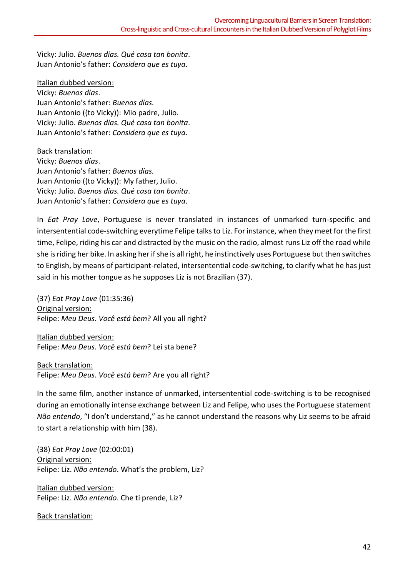Vicky: Julio. *Buenos días. Qué casa tan bonita*. Juan Antonio's father: *Considera que es tuya*.

Italian dubbed version: Vicky: *Buenos días*. Juan Antonio's father: *Buenos días.* Juan Antonio ((to Vicky)): Mio padre, Julio. Vicky: Julio. *Buenos días. Qué casa tan bonita*. Juan Antonio's father: *Considera que es tuya*.

Back translation: Vicky: *Buenos días*. Juan Antonio's father: *Buenos días.* Juan Antonio ((to Vicky)): My father, Julio. Vicky: Julio. *Buenos días. Qué casa tan bonita*. Juan Antonio's father: *Considera que es tuya*.

In *Eat Pray Love*, Portuguese is never translated in instances of unmarked turn-specific and intersentential code-switching everytime Felipe talks to Liz. For instance, when they meet for the first time, Felipe, riding his car and distracted by the music on the radio, almost runs Liz off the road while she is riding her bike. In asking her if she is all right, he instinctively uses Portuguese but then switches to English, by means of participant-related, intersentential code-switching, to clarify what he has just said in his mother tongue as he supposes Liz is not Brazilian (37).

(37) *Eat Pray Love* (01:35:36) Original version: Felipe: *Meu Deus*. *Você está bem*? All you all right?

Italian dubbed version: Felipe: *Meu Deus*. *Você está bem*? Lei sta bene?

Back translation: Felipe: *Meu Deus*. *Você está bem*? Are you all right?

In the same film, another instance of unmarked, intersentential code-switching is to be recognised during an emotionally intense exchange between Liz and Felipe, who uses the Portuguese statement *Não entendo*, "I don't understand," as he cannot understand the reasons why Liz seems to be afraid to start a relationship with him (38).

(38) *Eat Pray Love* (02:00:01) Original version: Felipe: Liz. *Não entendo*. What's the problem, Liz?

Italian dubbed version: Felipe: Liz. *Não entendo*. Che ti prende, Liz?

Back translation: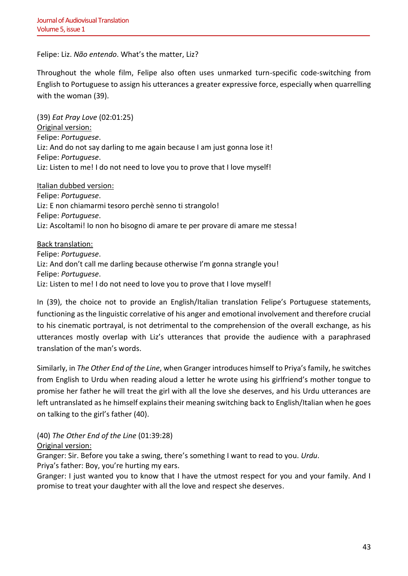Felipe: Liz. *Não entendo*. What's the matter, Liz?

Throughout the whole film, Felipe also often uses unmarked turn-specific code-switching from English to Portuguese to assign his utterances a greater expressive force, especially when quarrelling with the woman (39).

(39) *Eat Pray Love* (02:01:25) Original version: Felipe: *Portuguese*. Liz: And do not say darling to me again because I am just gonna lose it! Felipe: *Portuguese*. Liz: Listen to me! I do not need to love you to prove that I love myself!

Italian dubbed version: Felipe: *Portuguese*. Liz: E non chiamarmi tesoro perchè senno ti strangolo! Felipe: *Portuguese*. Liz: Ascoltami! Io non ho bisogno di amare te per provare di amare me stessa!

Back translation: Felipe: *Portuguese*. Liz: And don't call me darling because otherwise I'm gonna strangle you! Felipe: *Portuguese*. Liz: Listen to me! I do not need to love you to prove that I love myself!

In (39), the choice not to provide an English/Italian translation Felipe's Portuguese statements, functioning as the linguistic correlative of his anger and emotional involvement and therefore crucial to his cinematic portrayal, is not detrimental to the comprehension of the overall exchange, as his utterances mostly overlap with Liz's utterances that provide the audience with a paraphrased translation of the man's words.

Similarly, in *The Other End of the Line*, when Granger introduces himself to Priya's family, he switches from English to Urdu when reading aloud a letter he wrote using his girlfriend's mother tongue to promise her father he will treat the girl with all the love she deserves, and his Urdu utterances are left untranslated as he himself explains their meaning switching back to English/Italian when he goes on talking to the girl's father (40).

(40) *The Other End of the Line* (01:39:28)

Original version:

Granger: Sir. Before you take a swing, there's something I want to read to you. *Urdu*.

Priya's father: Boy, you're hurting my ears.

Granger: I just wanted you to know that I have the utmost respect for you and your family. And I promise to treat your daughter with all the love and respect she deserves.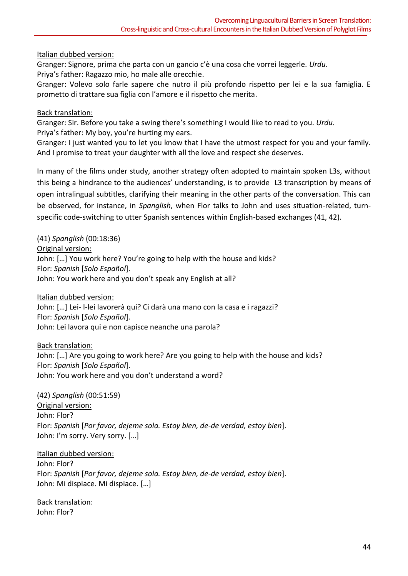## Italian dubbed version:

Granger: Signore, prima che parta con un gancio c'è una cosa che vorrei leggerle. *Urdu*. Priya's father: Ragazzo mio, ho male alle orecchie.

Granger: Volevo solo farle sapere che nutro il più profondo rispetto per lei e la sua famiglia. E prometto di trattare sua figlia con l'amore e il rispetto che merita.

#### Back translation:

Granger: Sir. Before you take a swing there's something I would like to read to you. *Urdu*. Priya's father: My boy, you're hurting my ears.

Granger: I just wanted you to let you know that I have the utmost respect for you and your family. And I promise to treat your daughter with all the love and respect she deserves.

In many of the films under study, another strategy often adopted to maintain spoken L3s, without this being a hindrance to the audiences' understanding, is to provide L3 transcription by means of open intralingual subtitles, clarifying their meaning in the other parts of the conversation. This can be observed, for instance, in *Spanglish*, when Flor talks to John and uses situation-related, turnspecific code-switching to utter Spanish sentences within English-based exchanges (41, 42).

(41) *Spanglish* (00:18:36)

Original version:

John: […] You work here? You're going to help with the house and kids? Flor: *Spanish* [*Solo Español*]. John: You work here and you don't speak any English at all?

Italian dubbed version:

John: […] Lei- l-lei lavorerà qui? Ci darà una mano con la casa e i ragazzi? Flor: *Spanish* [*Solo Español*]. John: Lei lavora qui e non capisce neanche una parola?

Back translation: John: […] Are you going to work here? Are you going to help with the house and kids? Flor: *Spanish* [*Solo Español*]. John: You work here and you don't understand a word?

(42) *Spanglish* (00:51:59) Original version: John: Flor? Flor: *Spanish* [*Por favor, dejeme sola. Estoy bien, de-de verdad, estoy bien*]. John: I'm sorry. Very sorry. […]

Italian dubbed version:

John: Flor? Flor: *Spanish* [*Por favor, dejeme sola. Estoy bien, de-de verdad, estoy bien*]. John: Mi dispiace. Mi dispiace. […]

Back translation: John: Flor?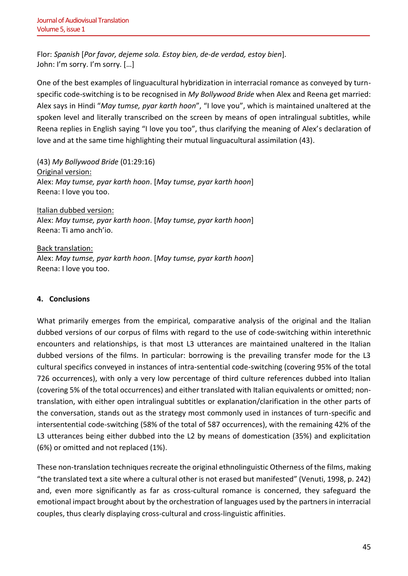Flor: *Spanish* [*Por favor, dejeme sola. Estoy bien, de-de verdad, estoy bien*]. John: I'm sorry. I'm sorry. […]

One of the best examples of linguacultural hybridization in interracial romance as conveyed by turnspecific code-switching is to be recognised in *My Bollywood Bride* when Alex and Reena get married: Alex says in Hindi "*May tumse, pyar karth hoon*", "I love you", which is maintained unaltered at the spoken level and literally transcribed on the screen by means of open intralingual subtitles, while Reena replies in English saying "I love you too", thus clarifying the meaning of Alex's declaration of love and at the same time highlighting their mutual linguacultural assimilation (43).

(43) *My Bollywood Bride* (01:29:16) Original version: Alex: *May tumse, pyar karth hoon*. [*May tumse, pyar karth hoon*] Reena: I love you too.

Italian dubbed version: Alex: *May tumse, pyar karth hoon*. [*May tumse, pyar karth hoon*] Reena: Ti amo anch'io.

Back translation: Alex: *May tumse, pyar karth hoon*. [*May tumse, pyar karth hoon*] Reena: I love you too.

## **4. Conclusions**

What primarily emerges from the empirical, comparative analysis of the original and the Italian dubbed versions of our corpus of films with regard to the use of code-switching within interethnic encounters and relationships, is that most L3 utterances are maintained unaltered in the Italian dubbed versions of the films. In particular: borrowing is the prevailing transfer mode for the L3 cultural specifics conveyed in instances of intra-sentential code-switching (covering 95% of the total 726 occurrences), with only a very low percentage of third culture references dubbed into Italian (covering 5% of the total occurrences) and either translated with Italian equivalents or omitted; nontranslation, with either open intralingual subtitles or explanation/clarification in the other parts of the conversation, stands out as the strategy most commonly used in instances of turn-specific and intersentential code-switching (58% of the total of 587 occurrences), with the remaining 42% of the L3 utterances being either dubbed into the L2 by means of domestication (35%) and explicitation (6%) or omitted and not replaced (1%).

These non-translation techniques recreate the original ethnolinguistic Otherness of the films, making "the translated text a site where a cultural other is not erased but manifested" (Venuti, 1998, p. 242) and, even more significantly as far as cross-cultural romance is concerned, they safeguard the emotional impact brought about by the orchestration of languages used by the partners in interracial couples, thus clearly displaying cross-cultural and cross-linguistic affinities.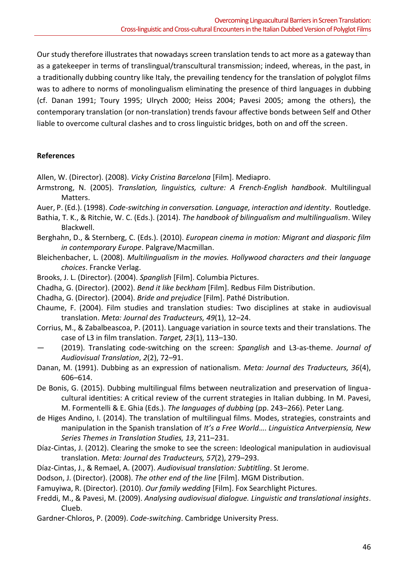Our study therefore illustrates that nowadays screen translation tends to act more as a gateway than as a gatekeeper in terms of translingual/transcultural transmission; indeed, whereas, in the past, in a traditionally dubbing country like Italy, the prevailing tendency for the translation of polyglot films was to adhere to norms of monolingualism eliminating the presence of third languages in dubbing (cf. Danan 1991; Toury 1995; Ulrych 2000; Heiss 2004; Pavesi 2005; among the others), the contemporary translation (or non-translation) trends favour affective bonds between Self and Other liable to overcome cultural clashes and to cross linguistic bridges, both on and off the screen.

#### **References**

Allen, W. (Director). (2008). *Vicky Cristina Barcelona* [Film]. Mediapro.

- Armstrong, N. (2005). *Translation, linguistics, culture: A French-English handbook*. Multilingual Matters.
- Auer, P. (Ed.). (1998). *Code-switching in conversation. Language, interaction and identity*. Routledge.
- Bathia, T. K., & Ritchie, W. C. (Eds.). (2014). *The handbook of bilingualism and multilingualism*. Wiley Blackwell.
- Berghahn, D., & Sternberg, C. (Eds.). (2010). *European cinema in motion: Migrant and diasporic film in contemporary Europe*. Palgrave/Macmillan.
- Bleichenbacher, L. (2008). *Multilingualism in the movies. Hollywood characters and their language choices*. Francke Verlag.
- Brooks, J. L. (Director). (2004). *Spanglish* [Film]. Columbia Pictures.
- Chadha, G. (Director). (2002). *Bend it like beckham* [Film]. Redbus Film Distribution.
- Chadha, G. (Director). (2004). *Bride and prejudice* [Film]. Pathé Distribution.
- Chaume, F. (2004). Film studies and translation studies: Two disciplines at stake in audiovisual translation. *Meta: Journal des Traducteurs, 49*(1), 12–24.
- Corrius, M., & Zabalbeascoa, P. (2011). Language variation in source texts and their translations. The case of L3 in film translation. *Target, 23*(1), 113–130.
- (2019). Translating code-switching on the screen: *Spanglish* and L3-as-theme. *Journal of Audiovisual Translation*, *2*(2), 72–91.
- Danan, M. (1991). Dubbing as an expression of nationalism. *Meta: Journal des Traducteurs, 36*(4), 606–614.
- De Bonis, G. (2015). Dubbing multilingual films between neutralization and preservation of linguacultural identities: A critical review of the current strategies in Italian dubbing. In M. Pavesi, M. Formentelli & E. Ghia (Eds.). *The languages of dubbing* (pp. 243–266). Peter Lang.
- de Higes Andino, I. (2014). The translation of multilingual films. Modes, strategies, constraints and manipulation in the Spanish translation of *It's a Free World*…. *Linguistica Antverpiensia, New Series Themes in Translation Studies, 13*, 211–231.
- Díaz-Cintas, J. (2012). Clearing the smoke to see the screen: Ideological manipulation in audiovisual translation. *Meta: Journal des Traducteurs, 57*(2), 279–293.
- Díaz-Cintas, J., & Remael, A. (2007). *Audiovisual translation: Subtitling*. St Jerome.
- Dodson, J. (Director). (2008). *The other end of the line* [Film]. MGM Distribution.
- Famuyiwa, R. (Director). (2010). *Our family wedding* [Film]. Fox Searchlight Pictures.
- Freddi, M., & Pavesi, M. (2009). *Analysing audiovisual dialogue. Linguistic and translational insights*. Clueb.
- Gardner-Chloros, P. (2009). *Code-switching*. Cambridge University Press.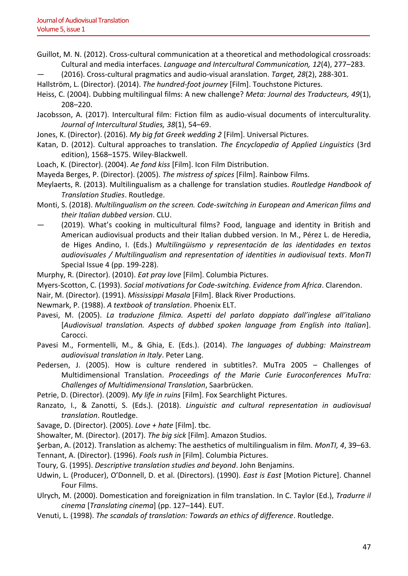- Guillot, M. N. (2012). Cross-cultural communication at a theoretical and methodological crossroads: Cultural and media interfaces. *Language and Intercultural Communication, 12*(4), 277–283.
- (2016). Cross-cultural pragmatics and audio-visual aranslation. *Target, 28*(2), 288-301.

Hallström, L. (Director). (2014). *The hundred-foot journey* [Film]. Touchstone Pictures.

- Heiss, C. (2004). Dubbing multilingual films: A new challenge? *Meta: Journal des Traducteurs, 49*(1), 208–220.
- Jacobsson, A. (2017). Intercultural film: Fiction film as audio-visual documents of interculturality. *Journal of Intercultural Studies, 38*(1), 54–69.
- Jones, K. (Director). (2016). *My big fat Greek wedding 2* [Film]. Universal Pictures.
- Katan, D. (2012). Cultural approaches to translation. *The Encyclopedia of Applied Linguistics* (3rd edition), 1568–1575. Wiley-Blackwell.
- Loach, K. (Director). (2004). *Ae fond kiss* [Film]. Icon Film Distribution.
- Mayeda Berges, P. (Director). (2005). *The mistress of spices* [Film]. Rainbow Films.
- Meylaerts, R. (2013). Multilingualism as a challenge for translation studies. *Routledge Handbook of Translation Studies*. Routledge.
- Monti, S. (2018). *Multilingualism on the screen. Code-switching in European and American films and their Italian dubbed version*. CLU.
- (2019). What's cooking in multicultural films? Food, language and identity in British and American audiovisual products and their Italian dubbed version. In M., Pérez L. de Heredia, de Higes Andino, I. (Eds.) *Multilingüismo y representación de las identidades en textos audiovisuales / Multilingualism and representation of identities in audiovisual texts*. *MonTI*  Special Issue 4 (pp. 199-228).
- Murphy, R. (Director). (2010). *Eat pray love* [Film]. Columbia Pictures.
- Myers-Scotton, C. (1993). *Social motivations for Code-switching. Evidence from Africa*. Clarendon.
- Nair, M. (Director). (1991). *Mississippi Masala* [Film]. Black River Productions.
- Newmark, P. (1988). *A textbook of translation*. Phoenix ELT.
- Pavesi, M. (2005). *La traduzione filmica. Aspetti del parlato doppiato dall'inglese all'italiano* [*Audiovisual translation. Aspects of dubbed spoken language from English into Italian*]. Carocci.
- Pavesi M., Formentelli, M., & Ghia, E. (Eds.). (2014). *The languages of dubbing: Mainstream audiovisual translation in Italy*. Peter Lang.
- Pedersen, J. (2005). How is culture rendered in subtitles?. MuTra 2005 Challenges of Multidimensional Translation. *Proceedings of the Marie Curie Euroconferences MuTra: Challenges of Multidimensional Translation*, Saarbrücken.

Petrie, D. (Director). (2009). *My life in ruins* [Film]. Fox Searchlight Pictures.

- Ranzato, I., & Zanotti, S. (Eds.). (2018). *Linguistic and cultural representation in audiovisual translation*. Routledge.
- Savage, D. (Director). (2005). *Love + hate* [Film]. tbc.
- Showalter, M. (Director). (2017). *The big sick* [Film]. Amazon Studios.
- Şerban, A. (2012). Translation as alchemy: The aesthetics of multilingualism in film. *MonTI, 4*, 39–63.
- Tennant, A. (Director). (1996). *Fools rush in* [Film]. Columbia Pictures.
- Toury, G. (1995). *Descriptive translation studies and beyond*. John Benjamins.
- Udwin, L. (Producer), O'Donnell, D. et al. (Directors). (1990). *East is East* [Motion Picture]. Channel Four Films.
- Ulrych, M. (2000). Domestication and foreignization in film translation. In C. Taylor (Ed.), *Tradurre il cinema* [*Translating cinema*] (pp. 127–144). EUT.
- Venuti, L. (1998). *The scandals of translation: Towards an ethics of difference*. Routledge.